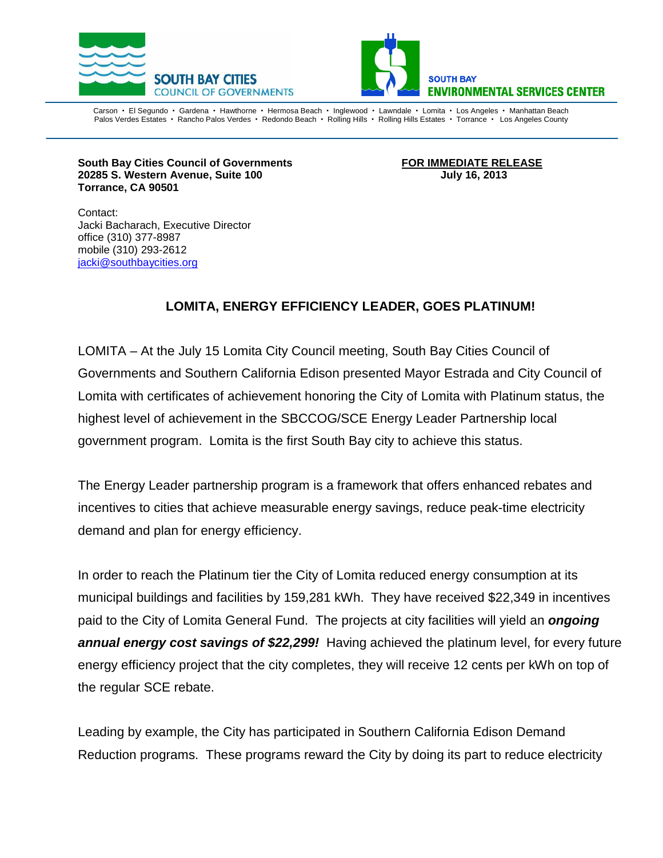



Carson • El Segundo • Gardena • Hawthorne • Hermosa Beach • Inglewood • Lawndale • Lomita • Los Angeles • Manhattan Beach Palos Verdes Estates · Rancho Palos Verdes · Redondo Beach · Rolling Hills · Rolling Hills Estates · Torrance · Los Angeles County

**South Bay Cities Council of Governments FOR IMMEDIATE RELEASE 20285 S. Western Avenue, Suite 100 July 16, 2013 Torrance, CA 90501**

Contact: Jacki Bacharach, Executive Director office (310) 377-8987 mobile (310) 293-2612 [jacki@southbaycities.org](mailto:marilyn@sbesc.com)

## **LOMITA, ENERGY EFFICIENCY LEADER, GOES PLATINUM!**

LOMITA – At the July 15 Lomita City Council meeting, South Bay Cities Council of Governments and Southern California Edison presented Mayor Estrada and City Council of Lomita with certificates of achievement honoring the City of Lomita with Platinum status, the highest level of achievement in the SBCCOG/SCE Energy Leader Partnership local government program. Lomita is the first South Bay city to achieve this status.

The Energy Leader partnership program is a framework that offers enhanced rebates and incentives to cities that achieve measurable energy savings, reduce peak-time electricity demand and plan for energy efficiency.

In order to reach the Platinum tier the City of Lomita reduced energy consumption at its municipal buildings and facilities by 159,281 kWh. They have received \$22,349 in incentives paid to the City of Lomita General Fund. The projects at city facilities will yield an *ongoing annual energy cost savings of \$22,299!* Having achieved the platinum level, for every future energy efficiency project that the city completes, they will receive 12 cents per kWh on top of the regular SCE rebate.

Leading by example, the City has participated in Southern California Edison Demand Reduction programs. These programs reward the City by doing its part to reduce electricity